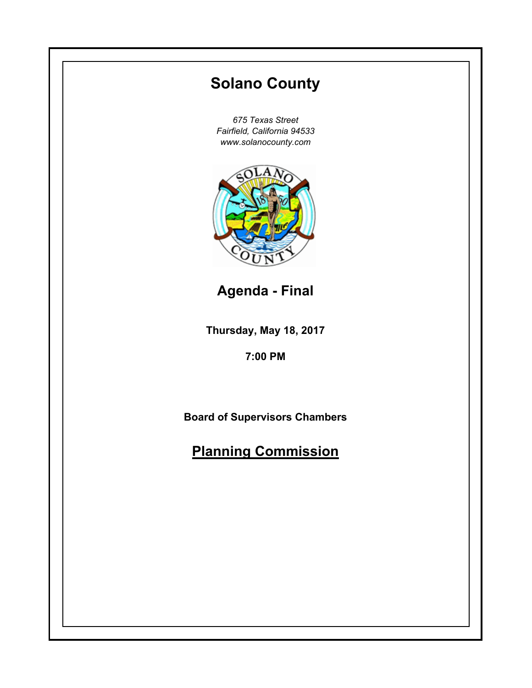# **Thursday, May 18, 2017 7:00 PM Solano County** *675 Texas Street Fairfield, California 94533 www.solanocounty.com* **Board of Supervisors Chambers Planning Commission Agenda - Final**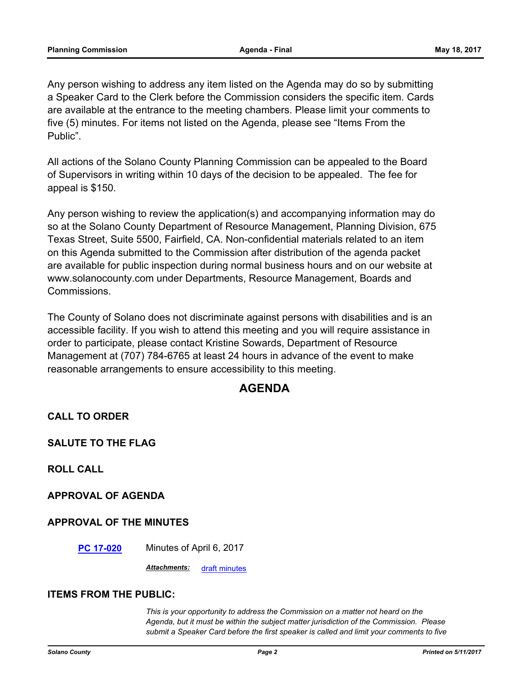Any person wishing to address any item listed on the Agenda may do so by submitting a Speaker Card to the Clerk before the Commission considers the specific item. Cards are available at the entrance to the meeting chambers. Please limit your comments to five (5) minutes. For items not listed on the Agenda, please see "Items From the Public".

All actions of the Solano County Planning Commission can be appealed to the Board of Supervisors in writing within 10 days of the decision to be appealed. The fee for appeal is \$150.

Any person wishing to review the application(s) and accompanying information may do so at the Solano County Department of Resource Management, Planning Division, 675 Texas Street, Suite 5500, Fairfield, CA. Non-confidential materials related to an item on this Agenda submitted to the Commission after distribution of the agenda packet are available for public inspection during normal business hours and on our website at www.solanocounty.com under Departments, Resource Management, Boards and Commissions.

The County of Solano does not discriminate against persons with disabilities and is an accessible facility. If you wish to attend this meeting and you will require assistance in order to participate, please contact Kristine Sowards, Department of Resource Management at (707) 784-6765 at least 24 hours in advance of the event to make reasonable arrangements to ensure accessibility to this meeting.

### **AGENDA**

**CALL TO ORDER**

**SALUTE TO THE FLAG**

**ROLL CALL**

**APPROVAL OF AGENDA**

#### **APPROVAL OF THE MINUTES**

**[PC 17-020](#page-3-0)** Minutes of April 6, 2017

*Attachments:* [draft minutes](#page-4-0)

#### **ITEMS FROM THE PUBLIC:**

*This is your opportunity to address the Commission on a matter not heard on the Agenda, but it must be within the subject matter jurisdiction of the Commission. Please submit a Speaker Card before the first speaker is called and limit your comments to five*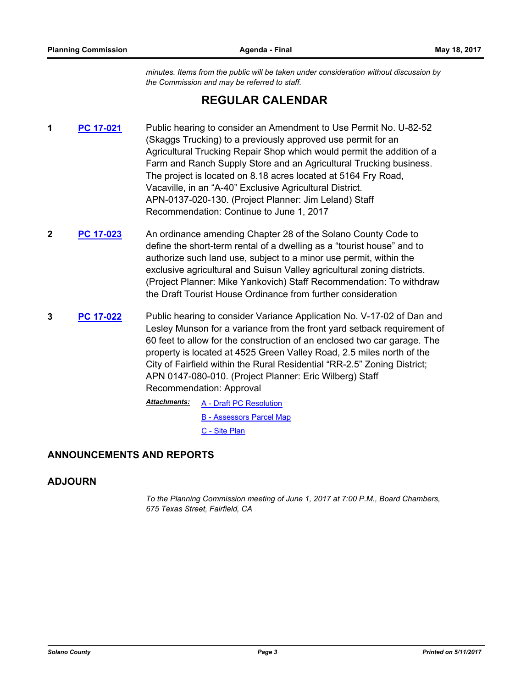*minutes. Items from the public will be taken under consideration without discussion by the Commission and may be referred to staff.*

## **REGULAR CALENDAR**

- **1 [PC 17-021](#page-11-0)** Public hearing to consider an Amendment to Use Permit No. U-82-52 (Skaggs Trucking) to a previously approved use permit for an Agricultural Trucking Repair Shop which would permit the addition of a Farm and Ranch Supply Store and an Agricultural Trucking business. The project is located on 8.18 acres located at 5164 Fry Road, Vacaville, in an "A-40" Exclusive Agricultural District. APN-0137-020-130. (Project Planner: Jim Leland) Staff Recommendation: Continue to June 1, 2017
- **2 [PC 17-023](#page-12-0)** An ordinance amending Chapter 28 of the Solano County Code to define the short-term rental of a dwelling as a "tourist house" and to authorize such land use, subject to a minor use permit, within the exclusive agricultural and Suisun Valley agricultural zoning districts. (Project Planner: Mike Yankovich) Staff Recommendation: To withdraw the Draft Tourist House Ordinance from further consideration
- **3 [PC 17-022](#page-13-0)** Public hearing to consider Variance Application No. V-17-02 of Dan and Lesley Munson for a variance from the front yard setback requirement of 60 feet to allow for the construction of an enclosed two car garage. The property is located at 4525 Green Valley Road, 2.5 miles north of the City of Fairfield within the Rural Residential "RR-2.5" Zoning District; APN 0147-080-010. (Project Planner: Eric Wilberg) Staff Recommendation: Approval

[A - Draft PC Resolution](#page-17-0) [B - Assessors Parcel Map](#page-19-0) [C - Site Plan](#page-20-0) *Attachments:*

#### **ANNOUNCEMENTS AND REPORTS**

#### **ADJOURN**

*To the Planning Commission meeting of June 1, 2017 at 7:00 P.M., Board Chambers, 675 Texas Street, Fairfield, CA*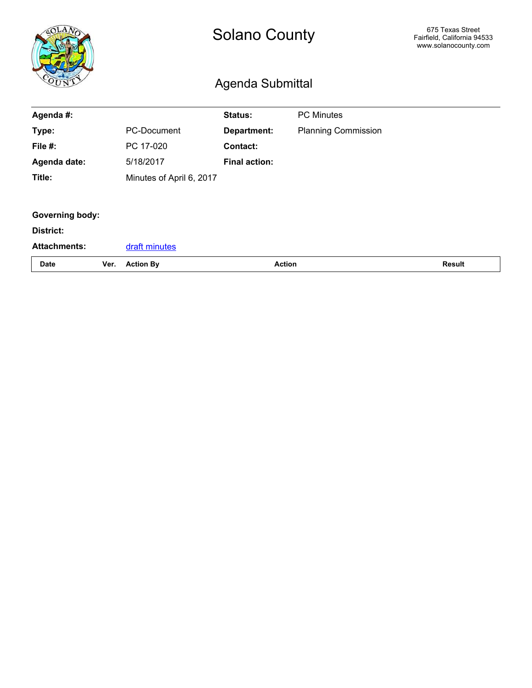<span id="page-3-0"></span>

|                        |      | <b>Solano County</b><br><b>Agenda Submittal</b> |                      |                            | 675 Texas Street<br>Fairfield, California 94533<br>www.solanocounty.com |
|------------------------|------|-------------------------------------------------|----------------------|----------------------------|-------------------------------------------------------------------------|
| Agenda #:              |      |                                                 | <b>Status:</b>       | <b>PC Minutes</b>          |                                                                         |
| Type:                  |      | <b>PC-Document</b>                              | Department:          | <b>Planning Commission</b> |                                                                         |
| File #:                |      | PC 17-020                                       | Contact:             |                            |                                                                         |
| Agenda date:           |      | 5/18/2017                                       | <b>Final action:</b> |                            |                                                                         |
| Title:                 |      | Minutes of April 6, 2017                        |                      |                            |                                                                         |
|                        |      |                                                 |                      |                            |                                                                         |
| <b>Governing body:</b> |      |                                                 |                      |                            |                                                                         |
| <b>District:</b>       |      |                                                 |                      |                            |                                                                         |
| <b>Attachments:</b>    |      | draft minutes                                   |                      |                            |                                                                         |
| <b>Date</b>            | Ver. | <b>Action By</b>                                | <b>Action</b>        |                            | <b>Result</b>                                                           |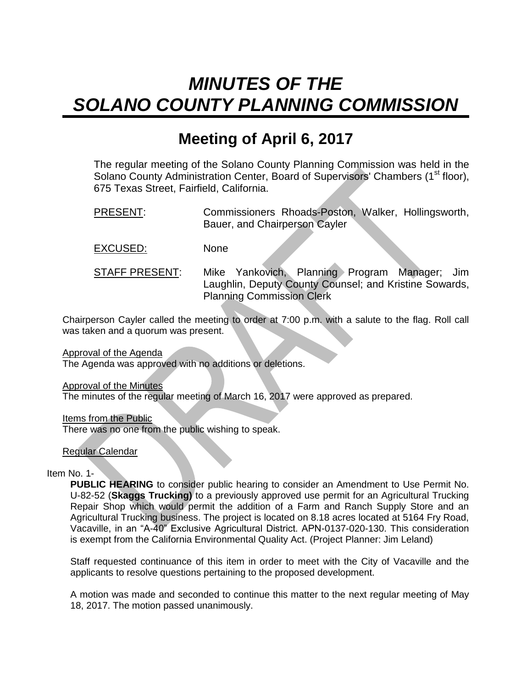# <span id="page-4-0"></span>*MINUTES OF THE SOLANO COUNTY PLANNING COMMISSION*

# **Meeting of April 6, 2017**

The regular meeting of the Solano County Planning Commission was held in the Solano County Administration Center, Board of Supervisors' Chambers (1<sup>st</sup> floor), 675 Texas Street, Fairfield, California.

PRESENT: Commissioners Rhoads-Poston, Walker, Hollingsworth, Bauer, and Chairperson Cayler

EXCUSED: None

STAFF PRESENT: Mike Yankovich, Planning Program Manager; Jim Laughlin, Deputy County Counsel; and Kristine Sowards, Planning Commission Clerk

Chairperson Cayler called the meeting to order at 7:00 p.m. with a salute to the flag. Roll call was taken and a quorum was present.

Approval of the Agenda

The Agenda was approved with no additions or deletions.

Approval of the Minutes

The minutes of the regular meeting of March 16, 2017 were approved as prepared.

Items from the Public

There was no one from the public wishing to speak.

Regular Calendar

Item No. 1-

**PUBLIC HEARING** to consider public hearing to consider an Amendment to Use Permit No. U-82-52 (**Skaggs Trucking)** to a previously approved use permit for an Agricultural Trucking Repair Shop which would permit the addition of a Farm and Ranch Supply Store and an Agricultural Trucking business. The project is located on 8.18 acres located at 5164 Fry Road, Vacaville, in an "A-40" Exclusive Agricultural District. APN-0137-020-130. This consideration is exempt from the California Environmental Quality Act. (Project Planner: Jim Leland)

Staff requested continuance of this item in order to meet with the City of Vacaville and the applicants to resolve questions pertaining to the proposed development.

A motion was made and seconded to continue this matter to the next regular meeting of May 18, 2017. The motion passed unanimously.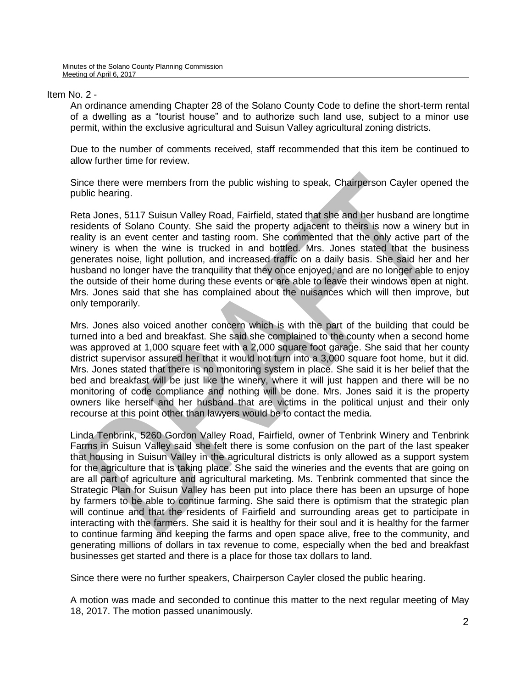#### Item No. 2 -

An ordinance amending Chapter 28 of the Solano County Code to define the short-term rental of a dwelling as a "tourist house" and to authorize such land use, subject to a minor use permit, within the exclusive agricultural and Suisun Valley agricultural zoning districts.

Due to the number of comments received, staff recommended that this item be continued to allow further time for review.

Since there were members from the public wishing to speak, Chairperson Cayler opened the public hearing.

Reta Jones, 5117 Suisun Valley Road, Fairfield, stated that she and her husband are longtime residents of Solano County. She said the property adjacent to theirs is now a winery but in reality is an event center and tasting room. She commented that the only active part of the winery is when the wine is trucked in and bottled. Mrs. Jones stated that the business generates noise, light pollution, and increased traffic on a daily basis. She said her and her husband no longer have the tranquility that they once enjoyed, and are no longer able to enjoy the outside of their home during these events or are able to leave their windows open at night. Mrs. Jones said that she has complained about the nuisances which will then improve, but only temporarily.

Mrs. Jones also voiced another concern which is with the part of the building that could be turned into a bed and breakfast. She said she complained to the county when a second home was approved at 1,000 square feet with a 2,000 square foot garage. She said that her county district supervisor assured her that it would not turn into a 3,000 square foot home, but it did. Mrs. Jones stated that there is no monitoring system in place. She said it is her belief that the bed and breakfast will be just like the winery, where it will just happen and there will be no monitoring of code compliance and nothing will be done. Mrs. Jones said it is the property owners like herself and her husband that are victims in the political unjust and their only recourse at this point other than lawyers would be to contact the media.

Linda Tenbrink, 5260 Gordon Valley Road, Fairfield, owner of Tenbrink Winery and Tenbrink Farms in Suisun Valley said she felt there is some confusion on the part of the last speaker that housing in Suisun Valley in the agricultural districts is only allowed as a support system for the agriculture that is taking place. She said the wineries and the events that are going on are all part of agriculture and agricultural marketing. Ms. Tenbrink commented that since the Strategic Plan for Suisun Valley has been put into place there has been an upsurge of hope by farmers to be able to continue farming. She said there is optimism that the strategic plan will continue and that the residents of Fairfield and surrounding areas get to participate in interacting with the farmers. She said it is healthy for their soul and it is healthy for the farmer to continue farming and keeping the farms and open space alive, free to the community, and generating millions of dollars in tax revenue to come, especially when the bed and breakfast businesses get started and there is a place for those tax dollars to land.

Since there were no further speakers, Chairperson Cayler closed the public hearing.

A motion was made and seconded to continue this matter to the next regular meeting of May 18, 2017. The motion passed unanimously.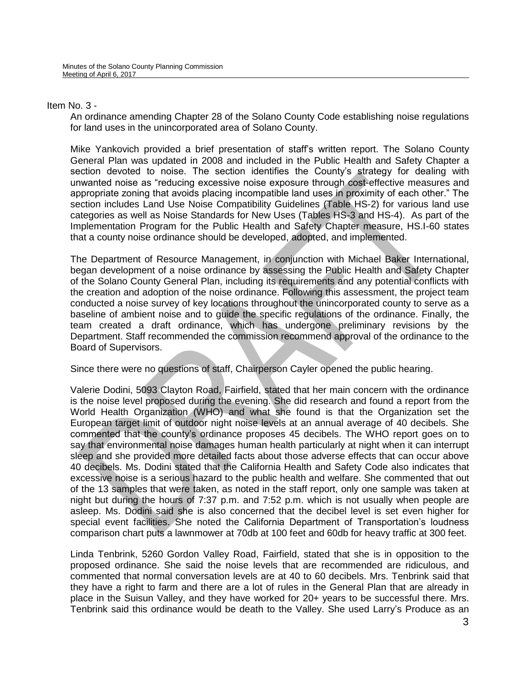#### Item No. 3 -

An ordinance amending Chapter 28 of the Solano County Code establishing noise regulations for land uses in the unincorporated area of Solano County.

Mike Yankovich provided a brief presentation of staff's written report. The Solano County General Plan was updated in 2008 and included in the Public Health and Safety Chapter a section devoted to noise. The section identifies the County's strategy for dealing with unwanted noise as "reducing excessive noise exposure through cost-effective measures and appropriate zoning that avoids placing incompatible land uses in proximity of each other." The section includes Land Use Noise Compatibility Guidelines (Table HS-2) for various land use categories as well as Noise Standards for New Uses (Tables HS-3 and HS-4). As part of the Implementation Program for the Public Health and Safety Chapter measure, HS.I-60 states that a county noise ordinance should be developed, adopted, and implemented.

The Department of Resource Management, in conjunction with Michael Baker International, began development of a noise ordinance by assessing the Public Health and Safety Chapter of the Solano County General Plan, including its requirements and any potential conflicts with the creation and adoption of the noise ordinance. Following this assessment, the project team conducted a noise survey of key locations throughout the unincorporated county to serve as a baseline of ambient noise and to guide the specific regulations of the ordinance. Finally, the team created a draft ordinance, which has undergone preliminary revisions by the Department. Staff recommended the commission recommend approval of the ordinance to the Board of Supervisors.

Since there were no questions of staff, Chairperson Cayler opened the public hearing.

Valerie Dodini, 5093 Clayton Road, Fairfield, stated that her main concern with the ordinance is the noise level proposed during the evening. She did research and found a report from the World Health Organization (WHO) and what she found is that the Organization set the European target limit of outdoor night noise levels at an annual average of 40 decibels. She commented that the county's ordinance proposes 45 decibels. The WHO report goes on to say that environmental noise damages human health particularly at night when it can interrupt sleep and she provided more detailed facts about those adverse effects that can occur above 40 decibels. Ms. Dodini stated that the California Health and Safety Code also indicates that excessive noise is a serious hazard to the public health and welfare. She commented that out of the 13 samples that were taken, as noted in the staff report, only one sample was taken at night but during the hours of 7:37 p.m. and 7:52 p.m. which is not usually when people are asleep. Ms. Dodini said she is also concerned that the decibel level is set even higher for special event facilities. She noted the California Department of Transportation's loudness comparison chart puts a lawnmower at 70db at 100 feet and 60db for heavy traffic at 300 feet.

Linda Tenbrink, 5260 Gordon Valley Road, Fairfield, stated that she is in opposition to the proposed ordinance. She said the noise levels that are recommended are ridiculous, and commented that normal conversation levels are at 40 to 60 decibels. Mrs. Tenbrink said that they have a right to farm and there are a lot of rules in the General Plan that are already in place in the Suisun Valley, and they have worked for 20+ years to be successful there. Mrs. Tenbrink said this ordinance would be death to the Valley. She used Larry's Produce as an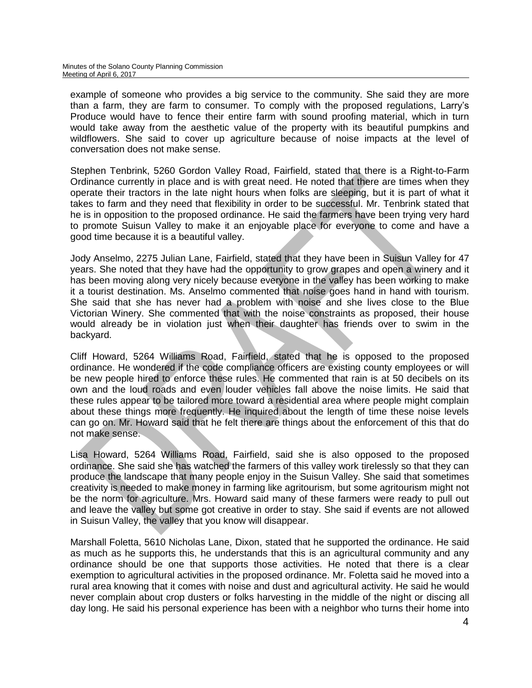example of someone who provides a big service to the community. She said they are more than a farm, they are farm to consumer. To comply with the proposed regulations, Larry's Produce would have to fence their entire farm with sound proofing material, which in turn would take away from the aesthetic value of the property with its beautiful pumpkins and wildflowers. She said to cover up agriculture because of noise impacts at the level of conversation does not make sense.

Stephen Tenbrink, 5260 Gordon Valley Road, Fairfield, stated that there is a Right-to-Farm Ordinance currently in place and is with great need. He noted that there are times when they operate their tractors in the late night hours when folks are sleeping, but it is part of what it takes to farm and they need that flexibility in order to be successful. Mr. Tenbrink stated that he is in opposition to the proposed ordinance. He said the farmers have been trying very hard to promote Suisun Valley to make it an enjoyable place for everyone to come and have a good time because it is a beautiful valley.

Jody Anselmo, 2275 Julian Lane, Fairfield, stated that they have been in Suisun Valley for 47 years. She noted that they have had the opportunity to grow grapes and open a winery and it has been moving along very nicely because everyone in the valley has been working to make it a tourist destination. Ms. Anselmo commented that noise goes hand in hand with tourism. She said that she has never had a problem with noise and she lives close to the Blue Victorian Winery. She commented that with the noise constraints as proposed, their house would already be in violation just when their daughter has friends over to swim in the backyard.

Cliff Howard, 5264 Williams Road, Fairfield, stated that he is opposed to the proposed ordinance. He wondered if the code compliance officers are existing county employees or will be new people hired to enforce these rules. He commented that rain is at 50 decibels on its own and the loud roads and even louder vehicles fall above the noise limits. He said that these rules appear to be tailored more toward a residential area where people might complain about these things more frequently. He inquired about the length of time these noise levels can go on. Mr. Howard said that he felt there are things about the enforcement of this that do not make sense.

Lisa Howard, 5264 Williams Road, Fairfield, said she is also opposed to the proposed ordinance. She said she has watched the farmers of this valley work tirelessly so that they can produce the landscape that many people enjoy in the Suisun Valley. She said that sometimes creativity is needed to make money in farming like agritourism, but some agritourism might not be the norm for agriculture. Mrs. Howard said many of these farmers were ready to pull out and leave the valley but some got creative in order to stay. She said if events are not allowed in Suisun Valley, the valley that you know will disappear.

Marshall Foletta, 5610 Nicholas Lane, Dixon, stated that he supported the ordinance. He said as much as he supports this, he understands that this is an agricultural community and any ordinance should be one that supports those activities. He noted that there is a clear exemption to agricultural activities in the proposed ordinance. Mr. Foletta said he moved into a rural area knowing that it comes with noise and dust and agricultural activity. He said he would never complain about crop dusters or folks harvesting in the middle of the night or discing all day long. He said his personal experience has been with a neighbor who turns their home into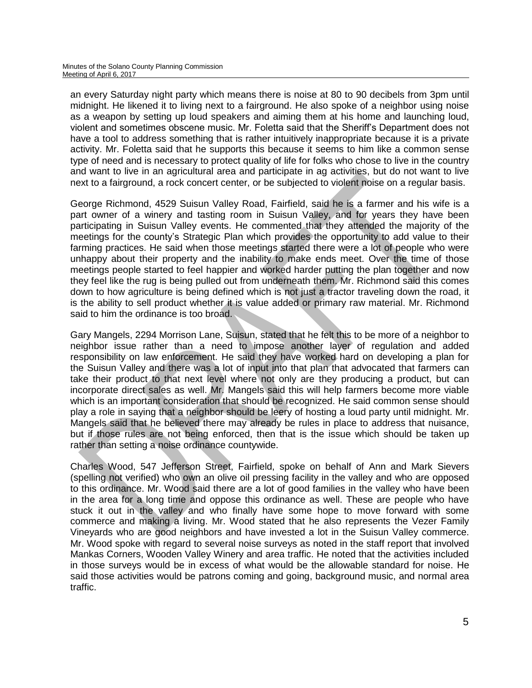an every Saturday night party which means there is noise at 80 to 90 decibels from 3pm until midnight. He likened it to living next to a fairground. He also spoke of a neighbor using noise as a weapon by setting up loud speakers and aiming them at his home and launching loud, violent and sometimes obscene music. Mr. Foletta said that the Sheriff's Department does not have a tool to address something that is rather intuitively inappropriate because it is a private activity. Mr. Foletta said that he supports this because it seems to him like a common sense type of need and is necessary to protect quality of life for folks who chose to live in the country and want to live in an agricultural area and participate in ag activities, but do not want to live next to a fairground, a rock concert center, or be subjected to violent noise on a regular basis.

George Richmond, 4529 Suisun Valley Road, Fairfield, said he is a farmer and his wife is a part owner of a winery and tasting room in Suisun Valley, and for years they have been participating in Suisun Valley events. He commented that they attended the majority of the meetings for the county's Strategic Plan which provides the opportunity to add value to their farming practices. He said when those meetings started there were a lot of people who were unhappy about their property and the inability to make ends meet. Over the time of those meetings people started to feel happier and worked harder putting the plan together and now they feel like the rug is being pulled out from underneath them. Mr. Richmond said this comes down to how agriculture is being defined which is not just a tractor traveling down the road, it is the ability to sell product whether it is value added or primary raw material. Mr. Richmond said to him the ordinance is too broad.

Gary Mangels, 2294 Morrison Lane, Suisun, stated that he felt this to be more of a neighbor to neighbor issue rather than a need to impose another layer of regulation and added responsibility on law enforcement. He said they have worked hard on developing a plan for the Suisun Valley and there was a lot of input into that plan that advocated that farmers can take their product to that next level where not only are they producing a product, but can incorporate direct sales as well. Mr. Mangels said this will help farmers become more viable which is an important consideration that should be recognized. He said common sense should play a role in saying that a neighbor should be leery of hosting a loud party until midnight. Mr. Mangels said that he believed there may already be rules in place to address that nuisance, but if those rules are not being enforced, then that is the issue which should be taken up rather than setting a noise ordinance countywide.

Charles Wood, 547 Jefferson Street, Fairfield, spoke on behalf of Ann and Mark Sievers (spelling not verified) who own an olive oil pressing facility in the valley and who are opposed to this ordinance. Mr. Wood said there are a lot of good families in the valley who have been in the area for a long time and oppose this ordinance as well. These are people who have stuck it out in the valley and who finally have some hope to move forward with some commerce and making a living. Mr. Wood stated that he also represents the Vezer Family Vineyards who are good neighbors and have invested a lot in the Suisun Valley commerce. Mr. Wood spoke with regard to several noise surveys as noted in the staff report that involved Mankas Corners, Wooden Valley Winery and area traffic. He noted that the activities included in those surveys would be in excess of what would be the allowable standard for noise. He said those activities would be patrons coming and going, background music, and normal area traffic.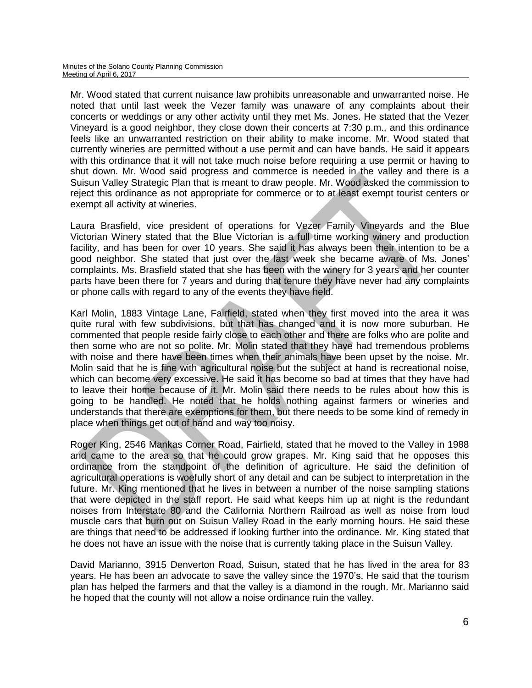Mr. Wood stated that current nuisance law prohibits unreasonable and unwarranted noise. He noted that until last week the Vezer family was unaware of any complaints about their concerts or weddings or any other activity until they met Ms. Jones. He stated that the Vezer Vineyard is a good neighbor, they close down their concerts at 7:30 p.m., and this ordinance feels like an unwarranted restriction on their ability to make income. Mr. Wood stated that currently wineries are permitted without a use permit and can have bands. He said it appears with this ordinance that it will not take much noise before requiring a use permit or having to shut down. Mr. Wood said progress and commerce is needed in the valley and there is a Suisun Valley Strategic Plan that is meant to draw people. Mr. Wood asked the commission to reject this ordinance as not appropriate for commerce or to at least exempt tourist centers or exempt all activity at wineries.

Laura Brasfield, vice president of operations for Vezer Family Vineyards and the Blue Victorian Winery stated that the Blue Victorian is a full time working winery and production facility, and has been for over 10 years. She said it has always been their intention to be a good neighbor. She stated that just over the last week she became aware of Ms. Jones' complaints. Ms. Brasfield stated that she has been with the winery for 3 years and her counter parts have been there for 7 years and during that tenure they have never had any complaints or phone calls with regard to any of the events they have held.

Karl Molin, 1883 Vintage Lane, Fairfield, stated when they first moved into the area it was quite rural with few subdivisions, but that has changed and it is now more suburban. He commented that people reside fairly close to each other and there are folks who are polite and then some who are not so polite. Mr. Molin stated that they have had tremendous problems with noise and there have been times when their animals have been upset by the noise. Mr. Molin said that he is fine with agricultural noise but the subject at hand is recreational noise, which can become very excessive. He said it has become so bad at times that they have had to leave their home because of it. Mr. Molin said there needs to be rules about how this is going to be handled. He noted that he holds nothing against farmers or wineries and understands that there are exemptions for them, but there needs to be some kind of remedy in place when things get out of hand and way too noisy.

Roger King, 2546 Mankas Corner Road, Fairfield, stated that he moved to the Valley in 1988 and came to the area so that he could grow grapes. Mr. King said that he opposes this ordinance from the standpoint of the definition of agriculture. He said the definition of agricultural operations is woefully short of any detail and can be subject to interpretation in the future. Mr. King mentioned that he lives in between a number of the noise sampling stations that were depicted in the staff report. He said what keeps him up at night is the redundant noises from Interstate 80 and the California Northern Railroad as well as noise from loud muscle cars that burn out on Suisun Valley Road in the early morning hours. He said these are things that need to be addressed if looking further into the ordinance. Mr. King stated that he does not have an issue with the noise that is currently taking place in the Suisun Valley.

David Marianno, 3915 Denverton Road, Suisun, stated that he has lived in the area for 83 years. He has been an advocate to save the valley since the 1970's. He said that the tourism plan has helped the farmers and that the valley is a diamond in the rough. Mr. Marianno said he hoped that the county will not allow a noise ordinance ruin the valley.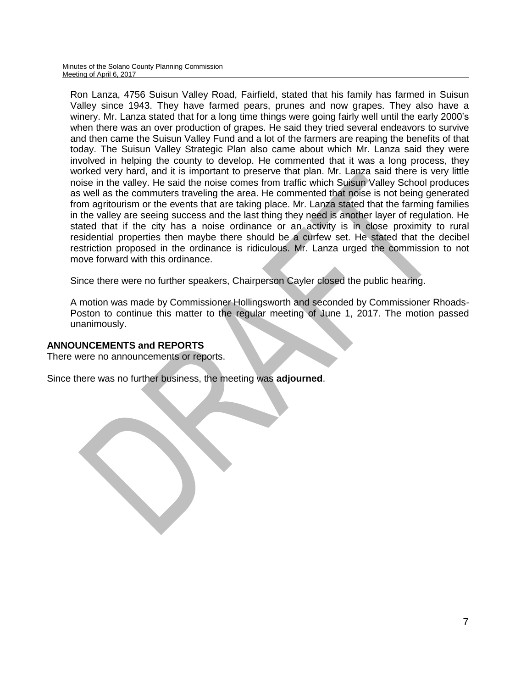Minutes of the Solano County Planning Commission Meeting of April 6, 2017

Ron Lanza, 4756 Suisun Valley Road, Fairfield, stated that his family has farmed in Suisun Valley since 1943. They have farmed pears, prunes and now grapes. They also have a winery. Mr. Lanza stated that for a long time things were going fairly well until the early 2000's when there was an over production of grapes. He said they tried several endeavors to survive and then came the Suisun Valley Fund and a lot of the farmers are reaping the benefits of that today. The Suisun Valley Strategic Plan also came about which Mr. Lanza said they were involved in helping the county to develop. He commented that it was a long process, they worked very hard, and it is important to preserve that plan. Mr. Lanza said there is very little noise in the valley. He said the noise comes from traffic which Suisun Valley School produces as well as the commuters traveling the area. He commented that noise is not being generated from agritourism or the events that are taking place. Mr. Lanza stated that the farming families in the valley are seeing success and the last thing they need is another layer of regulation. He stated that if the city has a noise ordinance or an activity is in close proximity to rural residential properties then maybe there should be a curfew set. He stated that the decibel restriction proposed in the ordinance is ridiculous. Mr. Lanza urged the commission to not move forward with this ordinance.

Since there were no further speakers, Chairperson Cayler closed the public hearing.

A motion was made by Commissioner Hollingsworth and seconded by Commissioner Rhoads-Poston to continue this matter to the regular meeting of June 1, 2017. The motion passed unanimously.

#### **ANNOUNCEMENTS and REPORTS**

There were no announcements or reports.

Since there was no further business, the meeting was **adjourned**.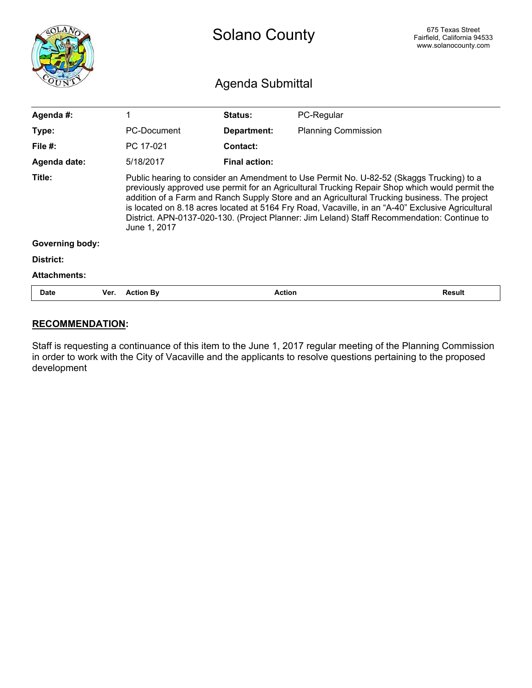<span id="page-11-0"></span>

|                        |      | <b>Solano County</b>                                                                                                                                                                                                                                                                                                                                                                                                                                                                                           |                      |                            | 675 Texas Street<br>Fairfield, California 94533<br>www.solanocounty.com |
|------------------------|------|----------------------------------------------------------------------------------------------------------------------------------------------------------------------------------------------------------------------------------------------------------------------------------------------------------------------------------------------------------------------------------------------------------------------------------------------------------------------------------------------------------------|----------------------|----------------------------|-------------------------------------------------------------------------|
|                        |      | Agenda Submittal                                                                                                                                                                                                                                                                                                                                                                                                                                                                                               |                      |                            |                                                                         |
| Agenda #:              |      | 1                                                                                                                                                                                                                                                                                                                                                                                                                                                                                                              | Status:              | PC-Regular                 |                                                                         |
| Type:                  |      | <b>PC-Document</b>                                                                                                                                                                                                                                                                                                                                                                                                                                                                                             | Department:          | <b>Planning Commission</b> |                                                                         |
| File $#$ :             |      | PC 17-021                                                                                                                                                                                                                                                                                                                                                                                                                                                                                                      | Contact:             |                            |                                                                         |
| Agenda date:           |      | 5/18/2017                                                                                                                                                                                                                                                                                                                                                                                                                                                                                                      | <b>Final action:</b> |                            |                                                                         |
| Title:                 |      | Public hearing to consider an Amendment to Use Permit No. U-82-52 (Skaggs Trucking) to a<br>previously approved use permit for an Agricultural Trucking Repair Shop which would permit the<br>addition of a Farm and Ranch Supply Store and an Agricultural Trucking business. The project<br>is located on 8.18 acres located at 5164 Fry Road, Vacaville, in an "A-40" Exclusive Agricultural<br>District. APN-0137-020-130. (Project Planner: Jim Leland) Staff Recommendation: Continue to<br>June 1, 2017 |                      |                            |                                                                         |
| <b>Governing body:</b> |      |                                                                                                                                                                                                                                                                                                                                                                                                                                                                                                                |                      |                            |                                                                         |
| District:              |      |                                                                                                                                                                                                                                                                                                                                                                                                                                                                                                                |                      |                            |                                                                         |
| <b>Attachments:</b>    |      |                                                                                                                                                                                                                                                                                                                                                                                                                                                                                                                |                      |                            |                                                                         |
| Date                   | Ver. | <b>Action By</b>                                                                                                                                                                                                                                                                                                                                                                                                                                                                                               |                      | <b>Action</b>              | <b>Result</b>                                                           |

#### **RECOMMENDATION**:

Staff is requesting a continuance of this item to the June 1, 2017 regular meeting of the Planning Commission in order to work with the City of Vacaville and the applicants to resolve questions pertaining to the proposed development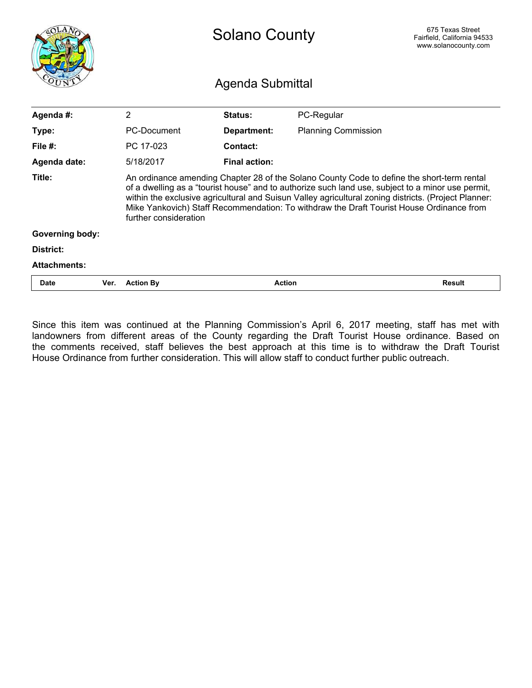<span id="page-12-0"></span>

|                        |      | 675 Texas Street<br><b>Solano County</b><br>Fairfield, California 94533<br>www.solanocounty.com<br>Agenda Submittal                                                                                                                                                                                                                                                                                                          |                      |                            |               |  |
|------------------------|------|------------------------------------------------------------------------------------------------------------------------------------------------------------------------------------------------------------------------------------------------------------------------------------------------------------------------------------------------------------------------------------------------------------------------------|----------------------|----------------------------|---------------|--|
| Agenda #:              |      | $\overline{2}$                                                                                                                                                                                                                                                                                                                                                                                                               | Status:              | PC-Regular                 |               |  |
| Type:                  |      | PC-Document                                                                                                                                                                                                                                                                                                                                                                                                                  | Department:          | <b>Planning Commission</b> |               |  |
| File $#$ :             |      | PC 17-023                                                                                                                                                                                                                                                                                                                                                                                                                    | Contact:             |                            |               |  |
| Agenda date:           |      | 5/18/2017                                                                                                                                                                                                                                                                                                                                                                                                                    | <b>Final action:</b> |                            |               |  |
| Title:                 |      | An ordinance amending Chapter 28 of the Solano County Code to define the short-term rental<br>of a dwelling as a "tourist house" and to authorize such land use, subject to a minor use permit,<br>within the exclusive agricultural and Suisun Valley agricultural zoning districts. (Project Planner:<br>Mike Yankovich) Staff Recommendation: To withdraw the Draft Tourist House Ordinance from<br>further consideration |                      |                            |               |  |
| <b>Governing body:</b> |      |                                                                                                                                                                                                                                                                                                                                                                                                                              |                      |                            |               |  |
| District:              |      |                                                                                                                                                                                                                                                                                                                                                                                                                              |                      |                            |               |  |
| <b>Attachments:</b>    |      |                                                                                                                                                                                                                                                                                                                                                                                                                              |                      |                            |               |  |
| <b>Date</b>            | Ver. | <b>Action By</b>                                                                                                                                                                                                                                                                                                                                                                                                             |                      | <b>Action</b>              | <b>Result</b> |  |

Since this item was continued at the Planning Commission's April 6, 2017 meeting, staff has met with landowners from different areas of the County regarding the Draft Tourist House ordinance. Based on the comments received, staff believes the best approach at this time is to withdraw the Draft Tourist House Ordinance from further consideration. This will allow staff to conduct further public outreach.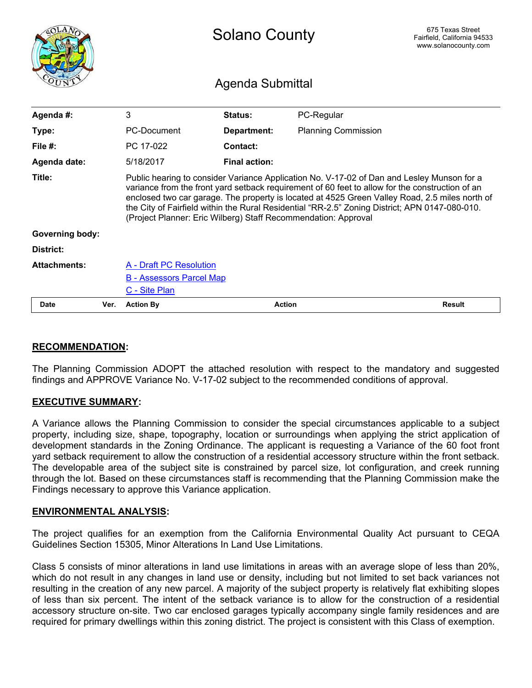<span id="page-13-0"></span>

|                        |      | <b>Solano County</b>                                                                                                                                                                                                                                                                                                                                                                                                                                                |                      |                            | 675 Texas Street<br>Fairfield, California 94533<br>www.solanocounty.com |  |
|------------------------|------|---------------------------------------------------------------------------------------------------------------------------------------------------------------------------------------------------------------------------------------------------------------------------------------------------------------------------------------------------------------------------------------------------------------------------------------------------------------------|----------------------|----------------------------|-------------------------------------------------------------------------|--|
|                        |      |                                                                                                                                                                                                                                                                                                                                                                                                                                                                     | Agenda Submittal     |                            |                                                                         |  |
| Agenda #:              |      | 3                                                                                                                                                                                                                                                                                                                                                                                                                                                                   | Status:              | PC-Regular                 |                                                                         |  |
| Type:                  |      | PC-Document                                                                                                                                                                                                                                                                                                                                                                                                                                                         | Department:          | <b>Planning Commission</b> |                                                                         |  |
| File $#$ :             |      | PC 17-022                                                                                                                                                                                                                                                                                                                                                                                                                                                           | Contact:             |                            |                                                                         |  |
| Agenda date:           |      | 5/18/2017                                                                                                                                                                                                                                                                                                                                                                                                                                                           | <b>Final action:</b> |                            |                                                                         |  |
| Title:                 |      | Public hearing to consider Variance Application No. V-17-02 of Dan and Lesley Munson for a<br>variance from the front yard setback requirement of 60 feet to allow for the construction of an<br>enclosed two car garage. The property is located at 4525 Green Valley Road, 2.5 miles north of<br>the City of Fairfield within the Rural Residential "RR-2.5" Zoning District; APN 0147-080-010.<br>(Project Planner: Eric Wilberg) Staff Recommendation: Approval |                      |                            |                                                                         |  |
| <b>Governing body:</b> |      |                                                                                                                                                                                                                                                                                                                                                                                                                                                                     |                      |                            |                                                                         |  |
| District:              |      |                                                                                                                                                                                                                                                                                                                                                                                                                                                                     |                      |                            |                                                                         |  |
| <b>Attachments:</b>    |      | A - Draft PC Resolution                                                                                                                                                                                                                                                                                                                                                                                                                                             |                      |                            |                                                                         |  |
|                        |      | <b>B</b> - Assessors Parcel Map                                                                                                                                                                                                                                                                                                                                                                                                                                     |                      |                            |                                                                         |  |
|                        |      | C - Site Plan                                                                                                                                                                                                                                                                                                                                                                                                                                                       |                      |                            |                                                                         |  |
| <b>Date</b>            | Ver. | <b>Action By</b>                                                                                                                                                                                                                                                                                                                                                                                                                                                    | <b>Action</b>        |                            | <b>Result</b>                                                           |  |

#### **RECOMMENDATION:**

The Planning Commission ADOPT the attached resolution with respect to the mandatory and suggested findings and APPROVE Variance No. V-17-02 subject to the recommended conditions of approval.

#### **EXECUTIVE SUMMARY:**

A Variance allows the Planning Commission to consider the special circumstances applicable to a subject property, including size, shape, topography, location or surroundings when applying the strict application of development standards in the Zoning Ordinance. The applicant is requesting a Variance of the 60 foot front yard setback requirement to allow the construction of a residential accessory structure within the front setback. The developable area of the subject site is constrained by parcel size, lot configuration, and creek running through the lot. Based on these circumstances staff is recommending that the Planning Commission make the Findings necessary to approve this Variance application.

#### **ENVIRONMENTAL ANALYSIS:**

The project qualifies for an exemption from the California Environmental Quality Act pursuant to CEQA Guidelines Section 15305, Minor Alterations In Land Use Limitations.

Class 5 consists of minor alterations in land use limitations in areas with an average slope of less than 20%, which do not result in any changes in land use or density, including but not limited to set back variances not resulting in the creation of any new parcel. A majority of the subject property is relatively flat exhibiting slopes of less than six percent. The intent of the setback variance is to allow for the construction of a residential accessory structure on-site. Two car enclosed garages typically accompany single family residences and are required for primary dwellings within this zoning district. The project is consistent with this Class of exemption.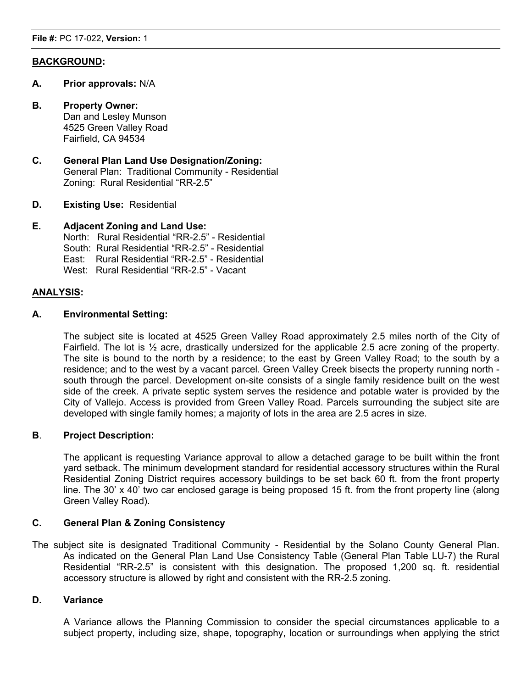#### **BACKGROUND:**

- **A. Prior approvals:** N/A
- **B. Property Owner:** Dan and Lesley Munson 4525 Green Valley Road Fairfield, CA 94534
- **C. General Plan Land Use Designation/Zoning:** General Plan: Traditional Community - Residential Zoning: Rural Residential "RR-2.5"
- **D. Existing Use:** Residential

#### **E. Adjacent Zoning and Land Use:**

North: Rural Residential "RR-2.5" - Residential South: Rural Residential "RR-2.5" - Residential East: Rural Residential "RR-2.5" - Residential West: Rural Residential "RR-2.5" - Vacant

#### **ANALYSIS:**

#### **A. Environmental Setting:**

The subject site is located at 4525 Green Valley Road approximately 2.5 miles north of the City of Fairfield. The lot is ½ acre, drastically undersized for the applicable 2.5 acre zoning of the property. The site is bound to the north by a residence; to the east by Green Valley Road; to the south by a residence; and to the west by a vacant parcel. Green Valley Creek bisects the property running north south through the parcel. Development on-site consists of a single family residence built on the west side of the creek. A private septic system serves the residence and potable water is provided by the City of Vallejo. Access is provided from Green Valley Road. Parcels surrounding the subject site are developed with single family homes; a majority of lots in the area are 2.5 acres in size.

#### **B**. **Project Description:**

The applicant is requesting Variance approval to allow a detached garage to be built within the front yard setback. The minimum development standard for residential accessory structures within the Rural Residential Zoning District requires accessory buildings to be set back 60 ft. from the front property line. The 30' x 40' two car enclosed garage is being proposed 15 ft. from the front property line (along Green Valley Road).

#### **C. General Plan & Zoning Consistency**

The subject site is designated Traditional Community - Residential by the Solano County General Plan. As indicated on the General Plan Land Use Consistency Table (General Plan Table LU-7) the Rural Residential "RR-2.5" is consistent with this designation. The proposed 1,200 sq. ft. residential accessory structure is allowed by right and consistent with the RR-2.5 zoning.

#### **D. Variance**

A Variance allows the Planning Commission to consider the special circumstances applicable to a subject property, including size, shape, topography, location or surroundings when applying the strict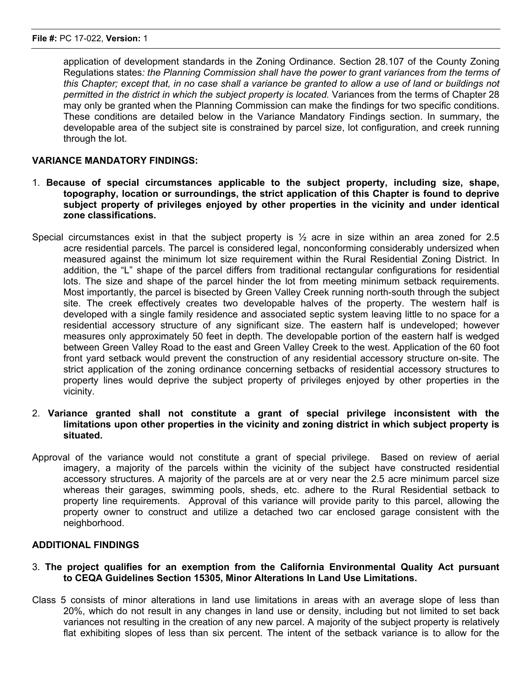application of development standards in the Zoning Ordinance. Section 28.107 of the County Zoning Regulations states*: the Planning Commission shall have the power to grant variances from the terms of* this Chapter; except that, in no case shall a variance be granted to allow a use of land or buildings not *permitted in the district in which the subject property is located.* Variances from the terms of Chapter 28 may only be granted when the Planning Commission can make the findings for two specific conditions. These conditions are detailed below in the Variance Mandatory Findings section. In summary, the developable area of the subject site is constrained by parcel size, lot configuration, and creek running through the lot.

#### **VARIANCE MANDATORY FINDINGS:**

- 1. **Because of special circumstances applicable to the subject property, including size, shape, topography, location or surroundings, the strict application of this Chapter is found to deprive subject property of privileges enjoyed by other properties in the vicinity and under identical zone classifications.**
- Special circumstances exist in that the subject property is  $\frac{1}{2}$  acre in size within an area zoned for 2.5 acre residential parcels. The parcel is considered legal, nonconforming considerably undersized when measured against the minimum lot size requirement within the Rural Residential Zoning District. In addition, the "L" shape of the parcel differs from traditional rectangular configurations for residential lots. The size and shape of the parcel hinder the lot from meeting minimum setback requirements. Most importantly, the parcel is bisected by Green Valley Creek running north-south through the subject site. The creek effectively creates two developable halves of the property. The western half is developed with a single family residence and associated septic system leaving little to no space for a residential accessory structure of any significant size. The eastern half is undeveloped; however measures only approximately 50 feet in depth. The developable portion of the eastern half is wedged between Green Valley Road to the east and Green Valley Creek to the west. Application of the 60 foot front yard setback would prevent the construction of any residential accessory structure on-site. The strict application of the zoning ordinance concerning setbacks of residential accessory structures to property lines would deprive the subject property of privileges enjoyed by other properties in the vicinity.
- 2. **Variance granted shall not constitute a grant of special privilege inconsistent with the limitations upon other properties in the vicinity and zoning district in which subject property is situated.**
- Approval of the variance would not constitute a grant of special privilege. Based on review of aerial imagery, a majority of the parcels within the vicinity of the subject have constructed residential accessory structures. A majority of the parcels are at or very near the 2.5 acre minimum parcel size whereas their garages, swimming pools, sheds, etc. adhere to the Rural Residential setback to property line requirements. Approval of this variance will provide parity to this parcel, allowing the property owner to construct and utilize a detached two car enclosed garage consistent with the neighborhood.

#### **ADDITIONAL FINDINGS**

- 3. **The project qualifies for an exemption from the California Environmental Quality Act pursuant to CEQA Guidelines Section 15305, Minor Alterations In Land Use Limitations.**
- Class 5 consists of minor alterations in land use limitations in areas with an average slope of less than 20%, which do not result in any changes in land use or density, including but not limited to set back variances not resulting in the creation of any new parcel. A majority of the subject property is relatively flat exhibiting slopes of less than six percent. The intent of the setback variance is to allow for the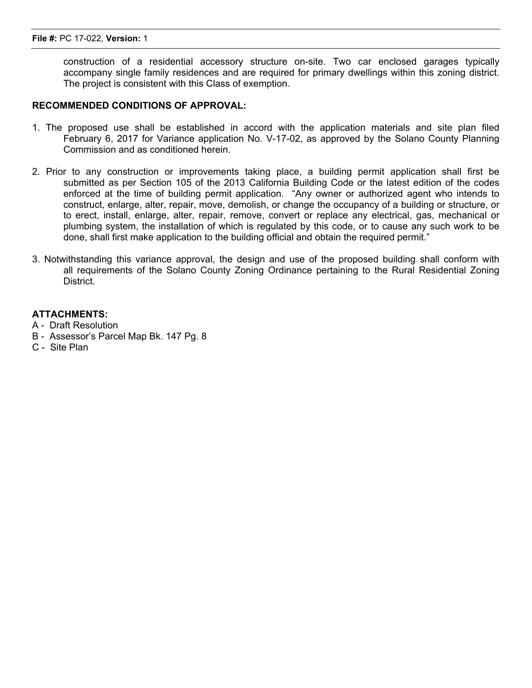construction of a residential accessory structure on-site. Two car enclosed garages typically accompany single family residences and are required for primary dwellings within this zoning district. The project is consistent with this Class of exemption.

#### **RECOMMENDED CONDITIONS OF APPROVAL:**

- 1. The proposed use shall be established in accord with the application materials and site plan filed February 6, 2017 for Variance application No. V-17-02, as approved by the Solano County Planning Commission and as conditioned herein.
- 2. Prior to any construction or improvements taking place, a building permit application shall first be submitted as per Section 105 of the 2013 California Building Code or the latest edition of the codes enforced at the time of building permit application. "Any owner or authorized agent who intends to construct, enlarge, alter, repair, move, demolish, or change the occupancy of a building or structure, or to erect, install, enlarge, alter, repair, remove, convert or replace any electrical, gas, mechanical or plumbing system, the installation of which is regulated by this code, or to cause any such work to be done, shall first make application to the building official and obtain the required permit."
- 3. Notwithstanding this variance approval, the design and use of the proposed building shall conform with all requirements of the Solano County Zoning Ordinance pertaining to the Rural Residential Zoning District.

#### **ATTACHMENTS:**

- A Draft Resolution
- B Assessor's Parcel Map Bk. 147 Pg. 8
- C Site Plan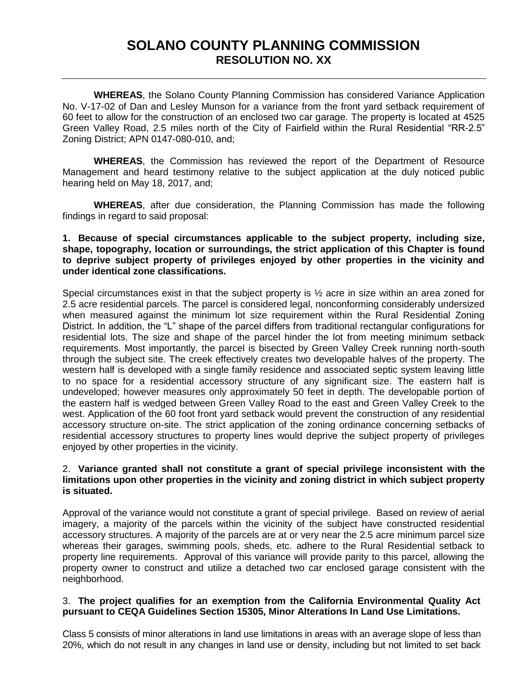## **SOLANO COUNTY PLANNING COMMISSION RESOLUTION NO. XX**

<span id="page-17-0"></span>**WHEREAS**, the Solano County Planning Commission has considered Variance Application No. V-17-02 of Dan and Lesley Munson for a variance from the front yard setback requirement of 60 feet to allow for the construction of an enclosed two car garage. The property is located at 4525 Green Valley Road, 2.5 miles north of the City of Fairfield within the Rural Residential "RR-2.5" Zoning District; APN 0147-080-010, and;

**WHEREAS**, the Commission has reviewed the report of the Department of Resource Management and heard testimony relative to the subject application at the duly noticed public hearing held on May 18, 2017, and;

**WHEREAS**, after due consideration, the Planning Commission has made the following findings in regard to said proposal:

#### **1. Because of special circumstances applicable to the subject property, including size, shape, topography, location or surroundings, the strict application of this Chapter is found to deprive subject property of privileges enjoyed by other properties in the vicinity and under identical zone classifications.**

Special circumstances exist in that the subject property is  $\frac{1}{2}$  acre in size within an area zoned for 2.5 acre residential parcels. The parcel is considered legal, nonconforming considerably undersized when measured against the minimum lot size requirement within the Rural Residential Zoning District. In addition, the "L" shape of the parcel differs from traditional rectangular configurations for residential lots. The size and shape of the parcel hinder the lot from meeting minimum setback requirements. Most importantly, the parcel is bisected by Green Valley Creek running north-south through the subject site. The creek effectively creates two developable halves of the property. The western half is developed with a single family residence and associated septic system leaving little to no space for a residential accessory structure of any significant size. The eastern half is undeveloped; however measures only approximately 50 feet in depth. The developable portion of the eastern half is wedged between Green Valley Road to the east and Green Valley Creek to the west. Application of the 60 foot front yard setback would prevent the construction of any residential accessory structure on-site. The strict application of the zoning ordinance concerning setbacks of residential accessory structures to property lines would deprive the subject property of privileges enjoyed by other properties in the vicinity.

#### 2. **Variance granted shall not constitute a grant of special privilege inconsistent with the limitations upon other properties in the vicinity and zoning district in which subject property is situated.**

Approval of the variance would not constitute a grant of special privilege. Based on review of aerial imagery, a majority of the parcels within the vicinity of the subject have constructed residential accessory structures. A majority of the parcels are at or very near the 2.5 acre minimum parcel size whereas their garages, swimming pools, sheds, etc. adhere to the Rural Residential setback to property line requirements. Approval of this variance will provide parity to this parcel, allowing the property owner to construct and utilize a detached two car enclosed garage consistent with the neighborhood.

#### 3. **The project qualifies for an exemption from the California Environmental Quality Act pursuant to CEQA Guidelines Section 15305, Minor Alterations In Land Use Limitations.**

Class 5 consists of minor alterations in land use limitations in areas with an average slope of less than 20%, which do not result in any changes in land use or density, including but not limited to set back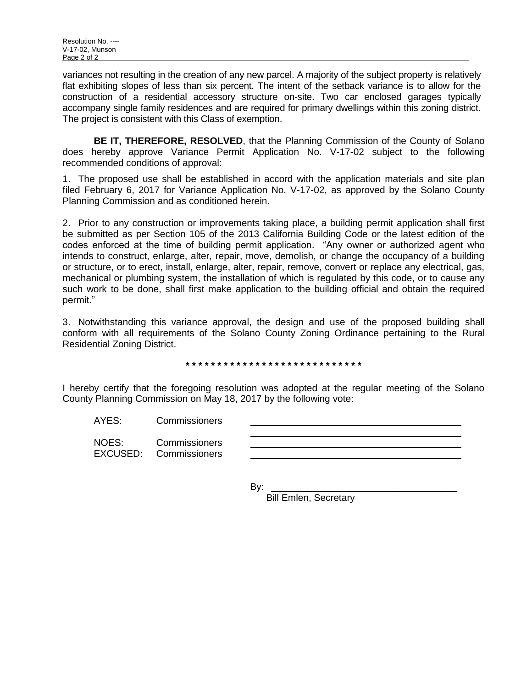variances not resulting in the creation of any new parcel. A majority of the subject property is relatively flat exhibiting slopes of less than six percent. The intent of the setback variance is to allow for the construction of a residential accessory structure on-site. Two car enclosed garages typically accompany single family residences and are required for primary dwellings within this zoning district. The project is consistent with this Class of exemption.

**BE IT, THEREFORE, RESOLVED**, that the Planning Commission of the County of Solano does hereby approve Variance Permit Application No. V-17-02 subject to the following recommended conditions of approval:

1. The proposed use shall be established in accord with the application materials and site plan filed February 6, 2017 for Variance Application No. V-17-02, as approved by the Solano County Planning Commission and as conditioned herein.

2. Prior to any construction or improvements taking place, a building permit application shall first be submitted as per Section 105 of the 2013 California Building Code or the latest edition of the codes enforced at the time of building permit application. "Any owner or authorized agent who intends to construct, enlarge, alter, repair, move, demolish, or change the occupancy of a building or structure, or to erect, install, enlarge, alter, repair, remove, convert or replace any electrical, gas, mechanical or plumbing system, the installation of which is regulated by this code, or to cause any such work to be done, shall first make application to the building official and obtain the required permit."

3. Notwithstanding this variance approval, the design and use of the proposed building shall conform with all requirements of the Solano County Zoning Ordinance pertaining to the Rural Residential Zoning District.

**\* \* \* \* \* \* \* \* \* \* \* \* \* \* \* \* \* \* \* \* \* \* \* \* \* \* \* \***

I hereby certify that the foregoing resolution was adopted at the regular meeting of the Solano County Planning Commission on May 18, 2017 by the following vote:

AYES: Commissioners

NOES: Commissioners EXCUSED: Commissioners

By: \_\_\_\_\_\_\_\_\_\_\_\_\_\_\_\_\_\_\_\_\_\_\_\_\_\_\_\_\_\_\_\_\_\_\_

Bill Emlen, Secretary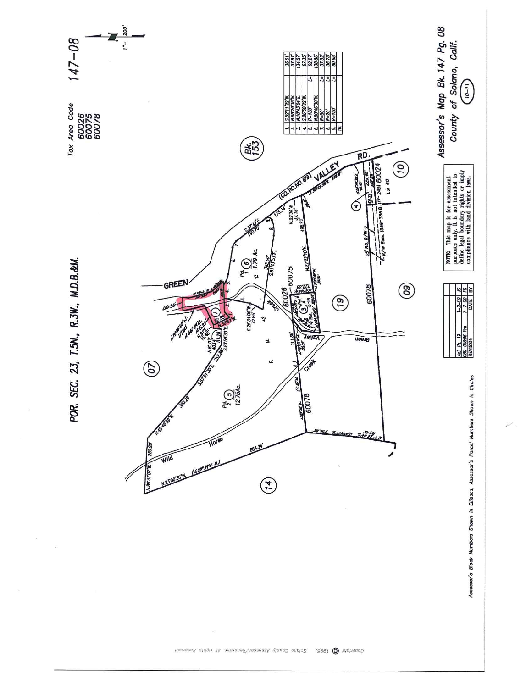